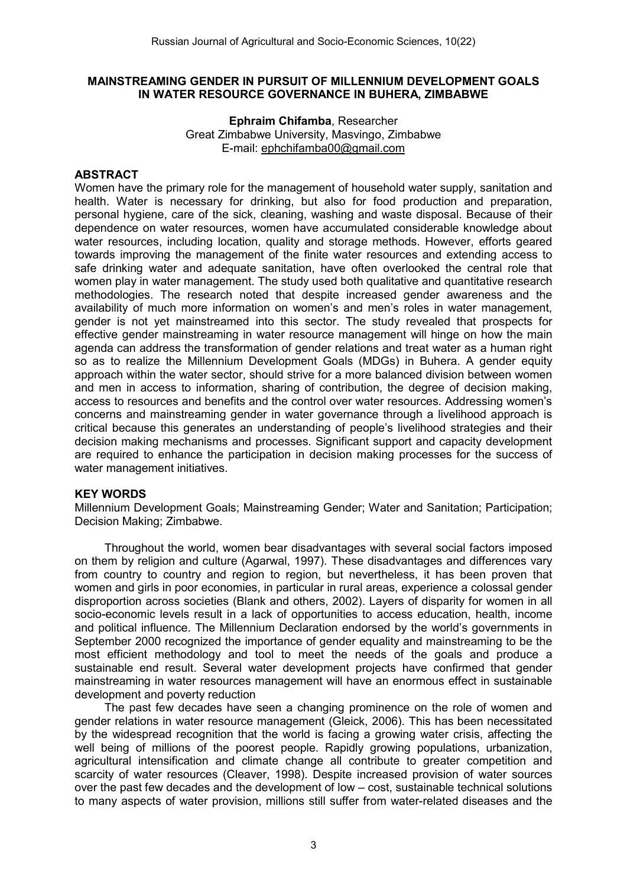#### MAINSTREAMING GENDER IN PURSUIT OF MILLENNIUM DEVELOPMENT GOALS IN WATER RESOURCE GOVERNANCE IN BUHERA, ZIMBABWE

Ephraim Chifamba, Researcher Great Zimbabwe University, Masvingo, Zimbabwe E-mail: ephchifamba00@gmail.com

#### ABSTRACT

Women have the primary role for the management of household water supply, sanitation and health. Water is necessary for drinking, but also for food production and preparation, personal hygiene, care of the sick, cleaning, washing and waste disposal. Because of their dependence on water resources, women have accumulated considerable knowledge about water resources, including location, quality and storage methods. However, efforts geared towards improving the management of the finite water resources and extending access to safe drinking water and adequate sanitation, have often overlooked the central role that women play in water management. The study used both qualitative and quantitative research methodologies. The research noted that despite increased gender awareness and the availability of much more information on women's and men's roles in water management, gender is not yet mainstreamed into this sector. The study revealed that prospects for effective gender mainstreaming in water resource management will hinge on how the main agenda can address the transformation of gender relations and treat water as a human right so as to realize the Millennium Development Goals (MDGs) in Buhera. A gender equity approach within the water sector, should strive for a more balanced division between women and men in access to information, sharing of contribution, the degree of decision making, access to resources and benefits and the control over water resources. Addressing women's concerns and mainstreaming gender in water governance through a livelihood approach is critical because this generates an understanding of people's livelihood strategies and their decision making mechanisms and processes. Significant support and capacity development are required to enhance the participation in decision making processes for the success of water management initiatives.

#### KEY WORDS

Millennium Development Goals; Mainstreaming Gender; Water and Sanitation; Participation; Decision Making; Zimbabwe.

Throughout the world, women bear disadvantages with several social factors imposed on them by religion and culture (Agarwal, 1997). These disadvantages and differences vary from country to country and region to region, but nevertheless, it has been proven that women and girls in poor economies, in particular in rural areas, experience a colossal gender disproportion across societies (Blank and others, 2002). Layers of disparity for women in all socio-economic levels result in a lack of opportunities to access education, health, income and political influence. The Millennium Declaration endorsed by the world's governments in September 2000 recognized the importance of gender equality and mainstreaming to be the most efficient methodology and tool to meet the needs of the goals and produce a sustainable end result. Several water development projects have confirmed that gender mainstreaming in water resources management will have an enormous effect in sustainable development and poverty reduction

The past few decades have seen a changing prominence on the role of women and gender relations in water resource management (Gleick, 2006). This has been necessitated by the widespread recognition that the world is facing a growing water crisis, affecting the well being of millions of the poorest people. Rapidly growing populations, urbanization, agricultural intensification and climate change all contribute to greater competition and scarcity of water resources (Cleaver, 1998). Despite increased provision of water sources over the past few decades and the development of low – cost, sustainable technical solutions to many aspects of water provision, millions still suffer from water-related diseases and the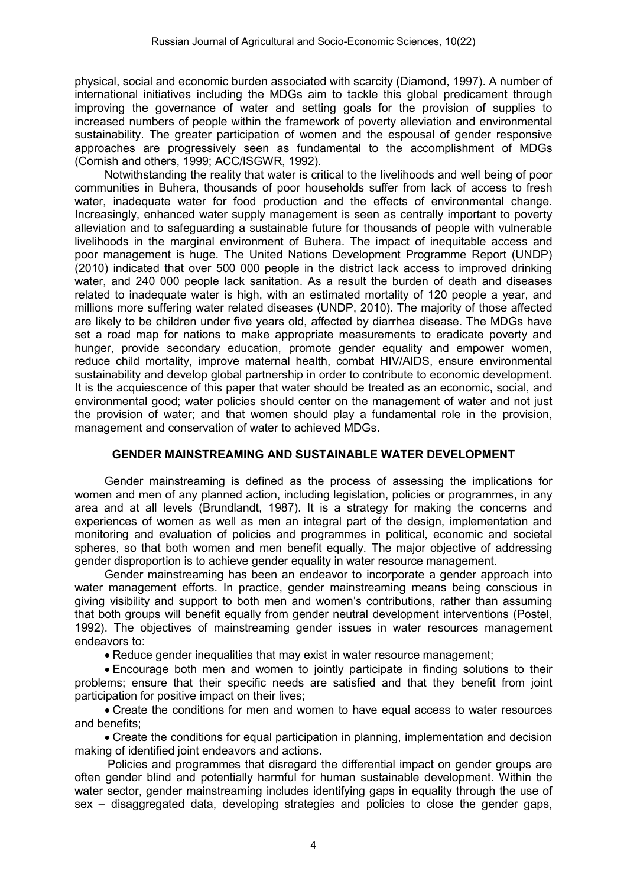physical, social and economic burden associated with scarcity (Diamond, 1997). A number of international initiatives including the MDGs aim to tackle this global predicament through improving the governance of water and setting goals for the provision of supplies to increased numbers of people within the framework of poverty alleviation and environmental sustainability. The greater participation of women and the espousal of gender responsive approaches are progressively seen as fundamental to the accomplishment of MDGs (Cornish and others, 1999; ACC/ISGWR, 1992).

Notwithstanding the reality that water is critical to the livelihoods and well being of poor communities in Buhera, thousands of poor households suffer from lack of access to fresh water, inadequate water for food production and the effects of environmental change. Increasingly, enhanced water supply management is seen as centrally important to poverty alleviation and to safeguarding a sustainable future for thousands of people with vulnerable livelihoods in the marginal environment of Buhera. The impact of inequitable access and poor management is huge. The United Nations Development Programme Report (UNDP) (2010) indicated that over 500 000 people in the district lack access to improved drinking water, and 240 000 people lack sanitation. As a result the burden of death and diseases related to inadequate water is high, with an estimated mortality of 120 people a year, and millions more suffering water related diseases (UNDP, 2010). The majority of those affected are likely to be children under five years old, affected by diarrhea disease. The MDGs have set a road map for nations to make appropriate measurements to eradicate poverty and hunger, provide secondary education, promote gender equality and empower women, reduce child mortality, improve maternal health, combat HIV/AIDS, ensure environmental sustainability and develop global partnership in order to contribute to economic development. It is the acquiescence of this paper that water should be treated as an economic, social, and environmental good; water policies should center on the management of water and not just the provision of water; and that women should play a fundamental role in the provision, management and conservation of water to achieved MDGs.

# GENDER MAINSTREAMING AND SUSTAINABLE WATER DEVELOPMENT

Gender mainstreaming is defined as the process of assessing the implications for women and men of any planned action, including legislation, policies or programmes, in any area and at all levels (Brundlandt, 1987). It is a strategy for making the concerns and experiences of women as well as men an integral part of the design, implementation and monitoring and evaluation of policies and programmes in political, economic and societal spheres, so that both women and men benefit equally. The major objective of addressing gender disproportion is to achieve gender equality in water resource management.

Gender mainstreaming has been an endeavor to incorporate a gender approach into water management efforts. In practice, gender mainstreaming means being conscious in giving visibility and support to both men and women's contributions, rather than assuming that both groups will benefit equally from gender neutral development interventions (Postel, 1992). The objectives of mainstreaming gender issues in water resources management endeavors to:

• Reduce gender inequalities that may exist in water resource management;

 Encourage both men and women to jointly participate in finding solutions to their problems; ensure that their specific needs are satisfied and that they benefit from joint participation for positive impact on their lives;

 Create the conditions for men and women to have equal access to water resources and benefits;

 Create the conditions for equal participation in planning, implementation and decision making of identified joint endeavors and actions.

Policies and programmes that disregard the differential impact on gender groups are often gender blind and potentially harmful for human sustainable development. Within the water sector, gender mainstreaming includes identifying gaps in equality through the use of sex – disaggregated data, developing strategies and policies to close the gender gaps,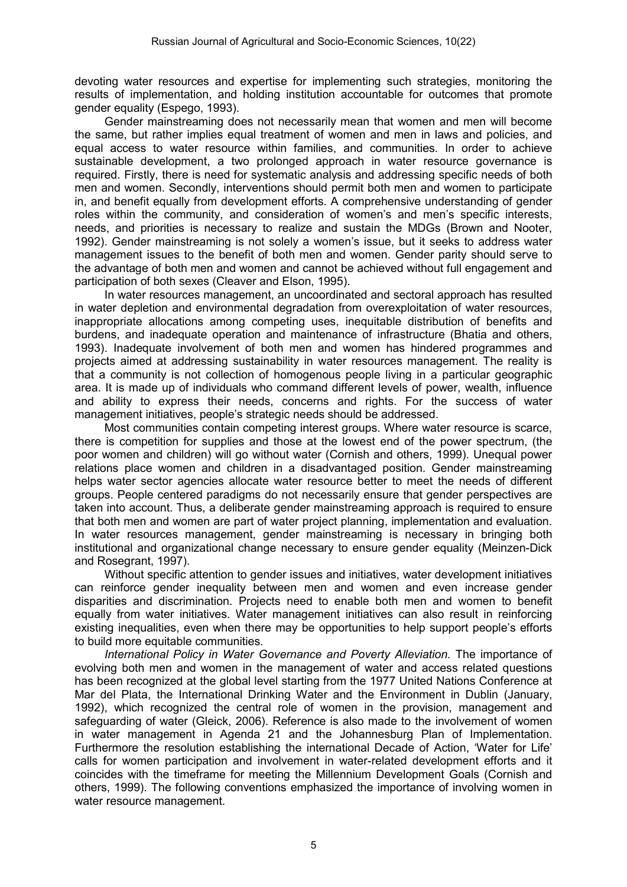devoting water resources and expertise for implementing such strategies, monitoring the results of implementation, and holding institution accountable for outcomes that promote gender equality (Espego, 1993).

Gender mainstreaming does not necessarily mean that women and men will become the same, but rather implies equal treatment of women and men in laws and policies, and equal access to water resource within families, and communities. In order to achieve sustainable development, a two prolonged approach in water resource governance is required. Firstly, there is need for systematic analysis and addressing specific needs of both men and women. Secondly, interventions should permit both men and women to participate in, and benefit equally from development efforts. A comprehensive understanding of gender roles within the community, and consideration of women's and men's specific interests, needs, and priorities is necessary to realize and sustain the MDGs (Brown and Nooter, 1992). Gender mainstreaming is not solely a women's issue, but it seeks to address water management issues to the benefit of both men and women. Gender parity should serve to the advantage of both men and women and cannot be achieved without full engagement and participation of both sexes (Cleaver and Elson, 1995).

In water resources management, an uncoordinated and sectoral approach has resulted in water depletion and environmental degradation from overexploitation of water resources, inappropriate allocations among competing uses, inequitable distribution of benefits and burdens, and inadequate operation and maintenance of infrastructure (Bhatia and others, 1993). Inadequate involvement of both men and women has hindered programmes and projects aimed at addressing sustainability in water resources management. The reality is that a community is not collection of homogenous people living in a particular geographic area. It is made up of individuals who command different levels of power, wealth, influence and ability to express their needs, concerns and rights. For the success of water management initiatives, people's strategic needs should be addressed.

Most communities contain competing interest groups. Where water resource is scarce, there is competition for supplies and those at the lowest end of the power spectrum, (the poor women and children) will go without water (Cornish and others, 1999). Unequal power relations place women and children in a disadvantaged position. Gender mainstreaming helps water sector agencies allocate water resource better to meet the needs of different groups. People centered paradigms do not necessarily ensure that gender perspectives are taken into account. Thus, a deliberate gender mainstreaming approach is required to ensure that both men and women are part of water project planning, implementation and evaluation. In water resources management, gender mainstreaming is necessary in bringing both institutional and organizational change necessary to ensure gender equality (Meinzen-Dick and Rosegrant, 1997).

Without specific attention to gender issues and initiatives, water development initiatives can reinforce gender inequality between men and women and even increase gender disparities and discrimination. Projects need to enable both men and women to benefit equally from water initiatives. Water management initiatives can also result in reinforcing existing inequalities, even when there may be opportunities to help support people's efforts to build more equitable communities.

*International Policy in Water Governance and Poverty Alleviation.* The importance of evolving both men and women in the management of water and access related questions has been recognized at the global level starting from the 1977 United Nations Conference at Mar del Plata, the International Drinking Water and the Environment in Dublin (January, 1992), which recognized the central role of women in the provision, management and safeguarding of water (Gleick, 2006). Reference is also made to the involvement of women in water management in Agenda 21 and the Johannesburg Plan of Implementation. Furthermore the resolution establishing the international Decade of Action, 'Water for Life' calls for women participation and involvement in water-related development efforts and it coincides with the timeframe for meeting the Millennium Development Goals (Cornish and others, 1999). The following conventions emphasized the importance of involving women in water resource management.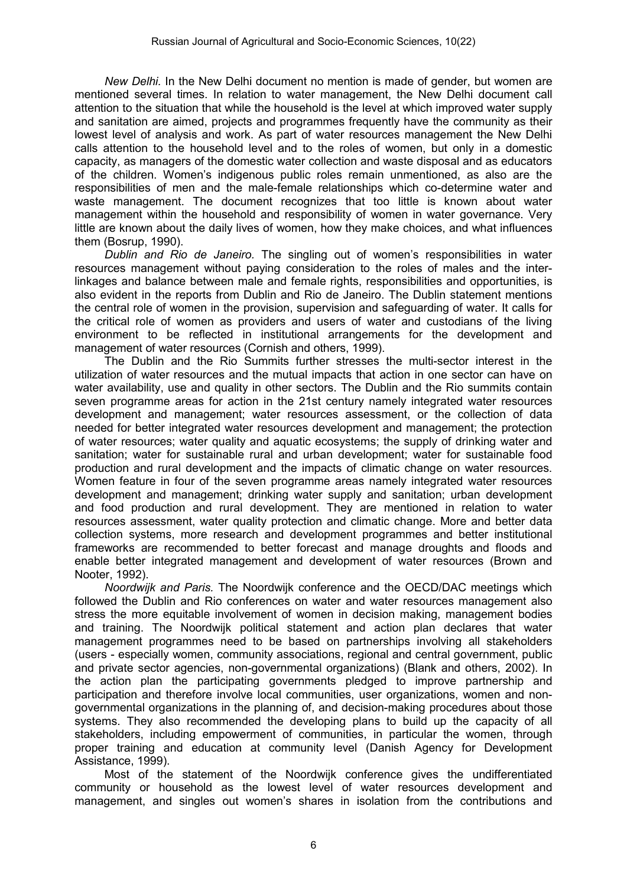*New Delhi.* In the New Delhi document no mention is made of gender, but women are mentioned several times. In relation to water management, the New Delhi document call attention to the situation that while the household is the level at which improved water supply and sanitation are aimed, projects and programmes frequently have the community as their lowest level of analysis and work. As part of water resources management the New Delhi calls attention to the household level and to the roles of women, but only in a domestic capacity, as managers of the domestic water collection and waste disposal and as educators of the children. Women's indigenous public roles remain unmentioned, as also are the responsibilities of men and the male-female relationships which co-determine water and waste management. The document recognizes that too little is known about water management within the household and responsibility of women in water governance. Very little are known about the daily lives of women, how they make choices, and what influences them (Bosrup, 1990).

*Dublin and Rio de Janeiro.* The singling out of women's responsibilities in water resources management without paying consideration to the roles of males and the interlinkages and balance between male and female rights, responsibilities and opportunities, is also evident in the reports from Dublin and Rio de Janeiro. The Dublin statement mentions the central role of women in the provision, supervision and safeguarding of water. It calls for the critical role of women as providers and users of water and custodians of the living environment to be reflected in institutional arrangements for the development and management of water resources (Cornish and others, 1999).

The Dublin and the Rio Summits further stresses the multi-sector interest in the utilization of water resources and the mutual impacts that action in one sector can have on water availability, use and quality in other sectors. The Dublin and the Rio summits contain seven programme areas for action in the 21st century namely integrated water resources development and management; water resources assessment, or the collection of data needed for better integrated water resources development and management; the protection of water resources; water quality and aquatic ecosystems; the supply of drinking water and sanitation; water for sustainable rural and urban development; water for sustainable food production and rural development and the impacts of climatic change on water resources. Women feature in four of the seven programme areas namely integrated water resources development and management; drinking water supply and sanitation; urban development and food production and rural development. They are mentioned in relation to water resources assessment, water quality protection and climatic change. More and better data collection systems, more research and development programmes and better institutional frameworks are recommended to better forecast and manage droughts and floods and enable better integrated management and development of water resources (Brown and Nooter, 1992).

*Noordwijk and Paris.* The Noordwijk conference and the OECD/DAC meetings which followed the Dublin and Rio conferences on water and water resources management also stress the more equitable involvement of women in decision making, management bodies and training. The Noordwijk political statement and action plan declares that water management programmes need to be based on partnerships involving all stakeholders (users - especially women, community associations, regional and central government, public and private sector agencies, non-governmental organizations) (Blank and others, 2002). In the action plan the participating governments pledged to improve partnership and participation and therefore involve local communities, user organizations, women and nongovernmental organizations in the planning of, and decision-making procedures about those systems. They also recommended the developing plans to build up the capacity of all stakeholders, including empowerment of communities, in particular the women, through proper training and education at community level (Danish Agency for Development Assistance, 1999).

Most of the statement of the Noordwijk conference gives the undifferentiated community or household as the lowest level of water resources development and management, and singles out women's shares in isolation from the contributions and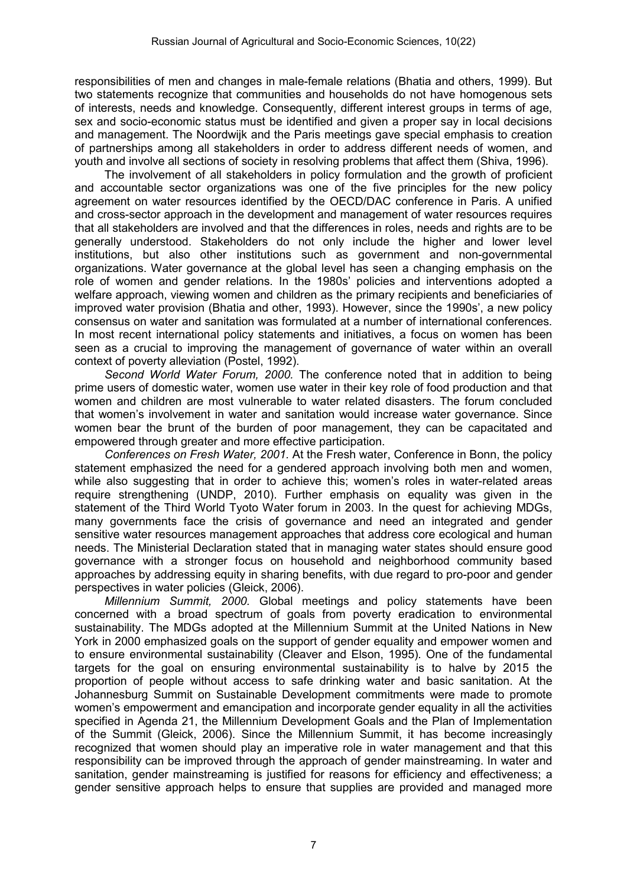responsibilities of men and changes in male-female relations (Bhatia and others, 1999). But two statements recognize that communities and households do not have homogenous sets of interests, needs and knowledge. Consequently, different interest groups in terms of age, sex and socio-economic status must be identified and given a proper say in local decisions and management. The Noordwijk and the Paris meetings gave special emphasis to creation of partnerships among all stakeholders in order to address different needs of women, and youth and involve all sections of society in resolving problems that affect them (Shiva, 1996).

The involvement of all stakeholders in policy formulation and the growth of proficient and accountable sector organizations was one of the five principles for the new policy agreement on water resources identified by the OECD/DAC conference in Paris. A unified and cross-sector approach in the development and management of water resources requires that all stakeholders are involved and that the differences in roles, needs and rights are to be generally understood. Stakeholders do not only include the higher and lower level institutions, but also other institutions such as government and non-governmental organizations. Water governance at the global level has seen a changing emphasis on the role of women and gender relations. In the 1980s' policies and interventions adopted a welfare approach, viewing women and children as the primary recipients and beneficiaries of improved water provision (Bhatia and other, 1993). However, since the 1990s', a new policy consensus on water and sanitation was formulated at a number of international conferences. In most recent international policy statements and initiatives, a focus on women has been seen as a crucial to improving the management of governance of water within an overall context of poverty alleviation (Postel, 1992).

*Second World Water Forum, 2000.* The conference noted that in addition to being prime users of domestic water, women use water in their key role of food production and that women and children are most vulnerable to water related disasters. The forum concluded that women's involvement in water and sanitation would increase water governance. Since women bear the brunt of the burden of poor management, they can be capacitated and empowered through greater and more effective participation.

*Conferences on Fresh Water, 2001.* At the Fresh water, Conference in Bonn, the policy statement emphasized the need for a gendered approach involving both men and women, while also suggesting that in order to achieve this; women's roles in water-related areas require strengthening (UNDP, 2010). Further emphasis on equality was given in the statement of the Third World Tyoto Water forum in 2003. In the quest for achieving MDGs, many governments face the crisis of governance and need an integrated and gender sensitive water resources management approaches that address core ecological and human needs. The Ministerial Declaration stated that in managing water states should ensure good governance with a stronger focus on household and neighborhood community based approaches by addressing equity in sharing benefits, with due regard to pro-poor and gender perspectives in water policies (Gleick, 2006).

*Millennium Summit, 2000.* Global meetings and policy statements have been concerned with a broad spectrum of goals from poverty eradication to environmental sustainability. The MDGs adopted at the Millennium Summit at the United Nations in New York in 2000 emphasized goals on the support of gender equality and empower women and to ensure environmental sustainability (Cleaver and Elson, 1995). One of the fundamental targets for the goal on ensuring environmental sustainability is to halve by 2015 the proportion of people without access to safe drinking water and basic sanitation. At the Johannesburg Summit on Sustainable Development commitments were made to promote women's empowerment and emancipation and incorporate gender equality in all the activities specified in Agenda 21, the Millennium Development Goals and the Plan of Implementation of the Summit (Gleick, 2006). Since the Millennium Summit, it has become increasingly recognized that women should play an imperative role in water management and that this responsibility can be improved through the approach of gender mainstreaming. In water and sanitation, gender mainstreaming is justified for reasons for efficiency and effectiveness; a gender sensitive approach helps to ensure that supplies are provided and managed more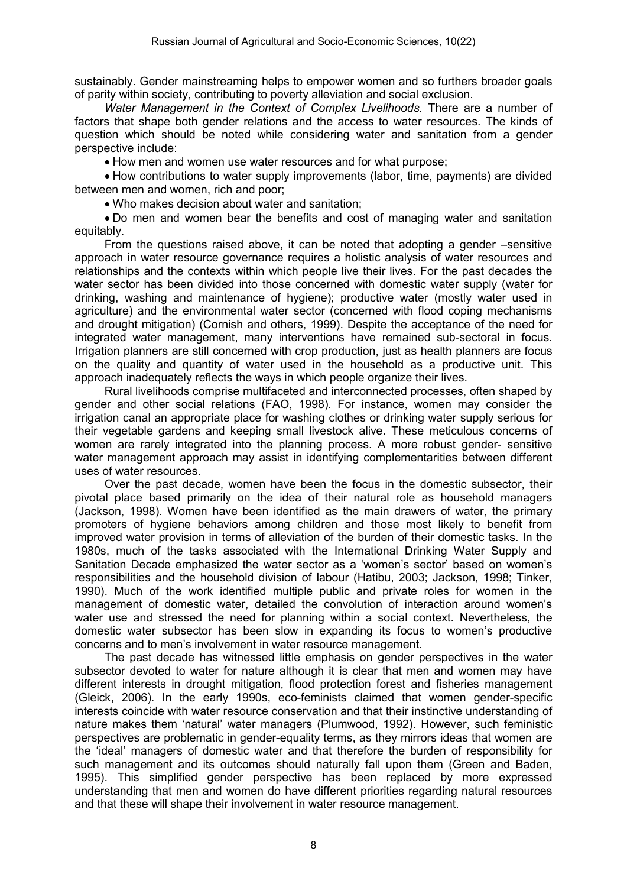sustainably. Gender mainstreaming helps to empower women and so furthers broader goals of parity within society, contributing to poverty alleviation and social exclusion.

*Water Management in the Context of Complex Livelihoods.* There are a number of factors that shape both gender relations and the access to water resources. The kinds of question which should be noted while considering water and sanitation from a gender perspective include:

• How men and women use water resources and for what purpose:

 How contributions to water supply improvements (labor, time, payments) are divided between men and women, rich and poor;

Who makes decision about water and sanitation;

 Do men and women bear the benefits and cost of managing water and sanitation equitably.

From the questions raised above, it can be noted that adopting a gender –sensitive approach in water resource governance requires a holistic analysis of water resources and relationships and the contexts within which people live their lives. For the past decades the water sector has been divided into those concerned with domestic water supply (water for drinking, washing and maintenance of hygiene); productive water (mostly water used in agriculture) and the environmental water sector (concerned with flood coping mechanisms and drought mitigation) (Cornish and others, 1999). Despite the acceptance of the need for integrated water management, many interventions have remained sub-sectoral in focus. Irrigation planners are still concerned with crop production, just as health planners are focus on the quality and quantity of water used in the household as a productive unit. This approach inadequately reflects the ways in which people organize their lives.

Rural livelihoods comprise multifaceted and interconnected processes, often shaped by gender and other social relations (FAO, 1998). For instance, women may consider the irrigation canal an appropriate place for washing clothes or drinking water supply serious for their vegetable gardens and keeping small livestock alive. These meticulous concerns of women are rarely integrated into the planning process. A more robust gender- sensitive water management approach may assist in identifying complementarities between different uses of water resources.

Over the past decade, women have been the focus in the domestic subsector, their pivotal place based primarily on the idea of their natural role as household managers (Jackson, 1998). Women have been identified as the main drawers of water, the primary promoters of hygiene behaviors among children and those most likely to benefit from improved water provision in terms of alleviation of the burden of their domestic tasks. In the 1980s, much of the tasks associated with the International Drinking Water Supply and Sanitation Decade emphasized the water sector as a 'women's sector' based on women's responsibilities and the household division of labour (Hatibu, 2003; Jackson, 1998; Tinker, 1990). Much of the work identified multiple public and private roles for women in the management of domestic water, detailed the convolution of interaction around women's water use and stressed the need for planning within a social context. Nevertheless, the domestic water subsector has been slow in expanding its focus to women's productive concerns and to men's involvement in water resource management.

The past decade has witnessed little emphasis on gender perspectives in the water subsector devoted to water for nature although it is clear that men and women may have different interests in drought mitigation, flood protection forest and fisheries management (Gleick, 2006). In the early 1990s, eco-feminists claimed that women gender-specific interests coincide with water resource conservation and that their instinctive understanding of nature makes them 'natural' water managers (Plumwood, 1992). However, such feministic perspectives are problematic in gender-equality terms, as they mirrors ideas that women are the 'ideal' managers of domestic water and that therefore the burden of responsibility for such management and its outcomes should naturally fall upon them (Green and Baden, 1995). This simplified gender perspective has been replaced by more expressed understanding that men and women do have different priorities regarding natural resources and that these will shape their involvement in water resource management.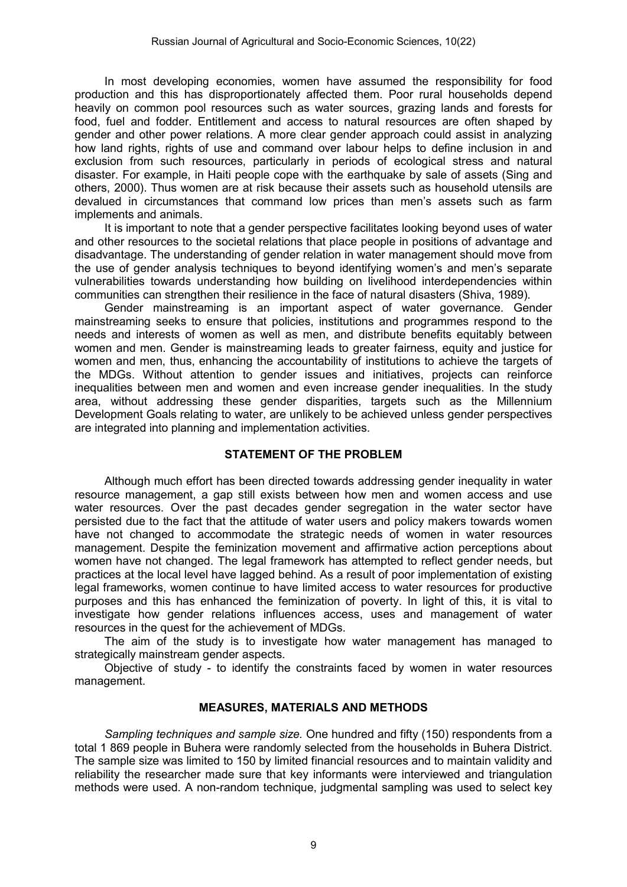In most developing economies, women have assumed the responsibility for food production and this has disproportionately affected them. Poor rural households depend heavily on common pool resources such as water sources, grazing lands and forests for food, fuel and fodder. Entitlement and access to natural resources are often shaped by gender and other power relations. A more clear gender approach could assist in analyzing how land rights, rights of use and command over labour helps to define inclusion in and exclusion from such resources, particularly in periods of ecological stress and natural disaster. For example, in Haiti people cope with the earthquake by sale of assets (Sing and others, 2000). Thus women are at risk because their assets such as household utensils are devalued in circumstances that command low prices than men's assets such as farm implements and animals.

It is important to note that a gender perspective facilitates looking beyond uses of water and other resources to the societal relations that place people in positions of advantage and disadvantage. The understanding of gender relation in water management should move from the use of gender analysis techniques to beyond identifying women's and men's separate vulnerabilities towards understanding how building on livelihood interdependencies within communities can strengthen their resilience in the face of natural disasters (Shiva, 1989).

Gender mainstreaming is an important aspect of water governance. Gender mainstreaming seeks to ensure that policies, institutions and programmes respond to the needs and interests of women as well as men, and distribute benefits equitably between women and men. Gender is mainstreaming leads to greater fairness, equity and justice for women and men, thus, enhancing the accountability of institutions to achieve the targets of the MDGs. Without attention to gender issues and initiatives, projects can reinforce inequalities between men and women and even increase gender inequalities. In the study area, without addressing these gender disparities, targets such as the Millennium Development Goals relating to water, are unlikely to be achieved unless gender perspectives are integrated into planning and implementation activities.

# STATEMENT OF THE PROBLEM

Although much effort has been directed towards addressing gender inequality in water resource management, a gap still exists between how men and women access and use water resources. Over the past decades gender segregation in the water sector have persisted due to the fact that the attitude of water users and policy makers towards women have not changed to accommodate the strategic needs of women in water resources management. Despite the feminization movement and affirmative action perceptions about women have not changed. The legal framework has attempted to reflect gender needs, but practices at the local level have lagged behind. As a result of poor implementation of existing legal frameworks, women continue to have limited access to water resources for productive purposes and this has enhanced the feminization of poverty. In light of this, it is vital to investigate how gender relations influences access, uses and management of water resources in the quest for the achievement of MDGs.

The aim of the study is to investigate how water management has managed to strategically mainstream gender aspects.

Objective of study - to identify the constraints faced by women in water resources management.

## MEASURES, MATERIALS AND METHODS

*Sampling techniques and sample size.* One hundred and fifty (150) respondents from a total 1 869 people in Buhera were randomly selected from the households in Buhera District. The sample size was limited to 150 by limited financial resources and to maintain validity and reliability the researcher made sure that key informants were interviewed and triangulation methods were used. A non-random technique, judgmental sampling was used to select key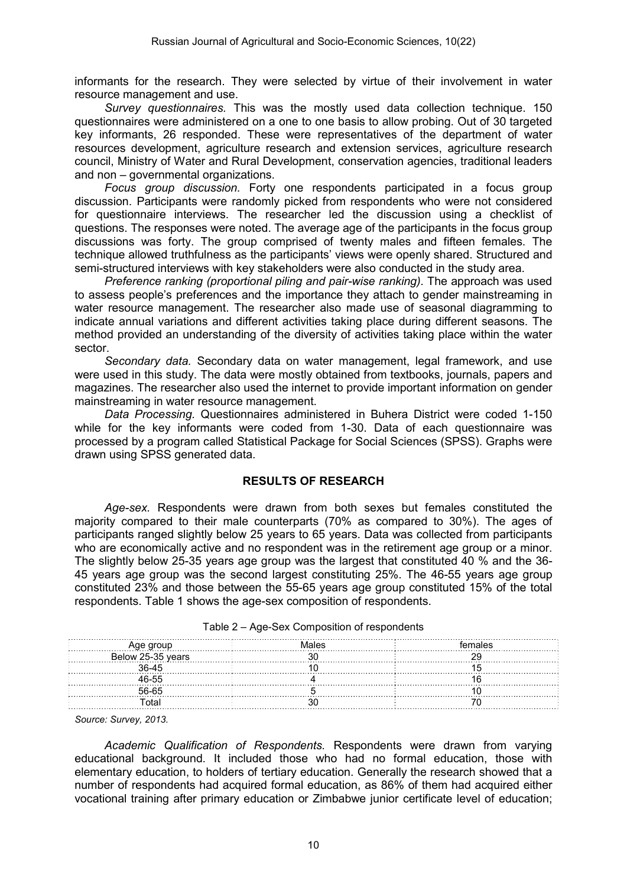informants for the research. They were selected by virtue of their involvement in water resource management and use.

*Survey questionnaires.* This was the mostly used data collection technique. 150 questionnaires were administered on a one to one basis to allow probing. Out of 30 targeted key informants, 26 responded. These were representatives of the department of water resources development, agriculture research and extension services, agriculture research council, Ministry of Water and Rural Development, conservation agencies, traditional leaders and non – governmental organizations.

*Focus group discussion.* Forty one respondents participated in a focus group discussion. Participants were randomly picked from respondents who were not considered for questionnaire interviews. The researcher led the discussion using a checklist of questions. The responses were noted. The average age of the participants in the focus group discussions was forty. The group comprised of twenty males and fifteen females. The technique allowed truthfulness as the participants' views were openly shared. Structured and semi-structured interviews with key stakeholders were also conducted in the study area.

*Preference ranking (proportional piling and pair-wise ranking)*. The approach was used to assess people's preferences and the importance they attach to gender mainstreaming in water resource management. The researcher also made use of seasonal diagramming to indicate annual variations and different activities taking place during different seasons. The method provided an understanding of the diversity of activities taking place within the water sector.

*Secondary data.* Secondary data on water management, legal framework, and use were used in this study. The data were mostly obtained from textbooks, journals, papers and magazines. The researcher also used the internet to provide important information on gender mainstreaming in water resource management.

*Data Processing.* Questionnaires administered in Buhera District were coded 1-150 while for the key informants were coded from 1-30. Data of each questionnaire was processed by a program called Statistical Package for Social Sciences (SPSS). Graphs were drawn using SPSS generated data.

## RESULTS OF RESEARCH

*Age-sex.* Respondents were drawn from both sexes but females constituted the majority compared to their male counterparts (70% as compared to 30%). The ages of participants ranged slightly below 25 years to 65 years. Data was collected from participants who are economically active and no respondent was in the retirement age group or a minor. The slightly below 25-35 years age group was the largest that constituted 40 % and the 36- 45 years age group was the second largest constituting 25%. The 46-55 years age group constituted 23% and those between the 55-65 years age group constituted 15% of the total respondents. Table 1 shows the age-sex composition of respondents.

| Age group         | Aales |  |
|-------------------|-------|--|
| Below 25-35 years |       |  |
| $36 - 45$         |       |  |
| 46-55             |       |  |
| 56-65             |       |  |
|                   |       |  |

#### Table 2 – Age-Sex Composition of respondents

*Source: Survey, 2013.*

*Academic Qualification of Respondents.* Respondents were drawn from varying educational background. It included those who had no formal education, those with elementary education, to holders of tertiary education. Generally the research showed that a number of respondents had acquired formal education, as 86% of them had acquired either vocational training after primary education or Zimbabwe junior certificate level of education;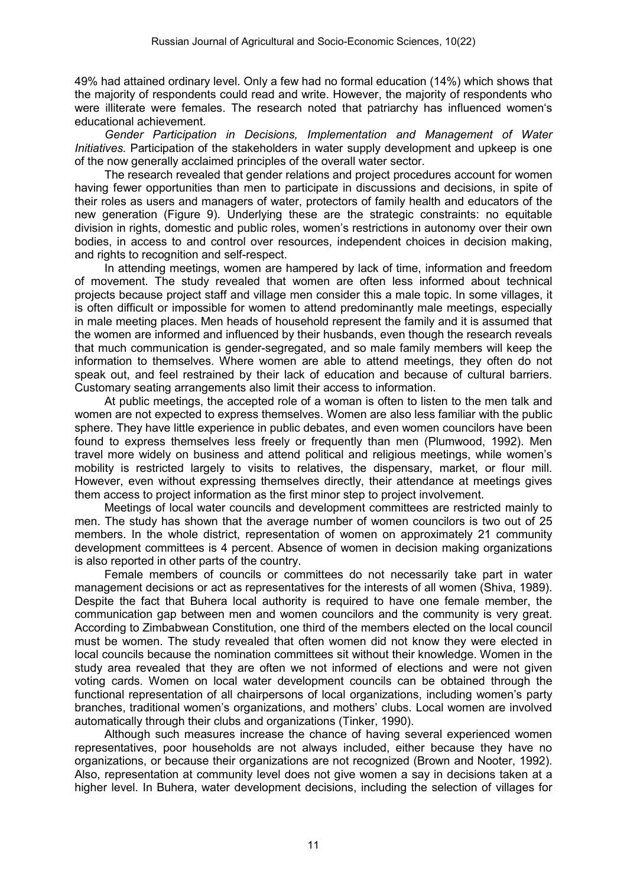49% had attained ordinary level. Only a few had no formal education (14%) which shows that the majority of respondents could read and write. However, the majority of respondents who were illiterate were females. The research noted that patriarchy has influenced women's educational achievement.

*Gender Participation in Decisions, Implementation and Management of Water Initiatives.* Participation of the stakeholders in water supply development and upkeep is one of the now generally acclaimed principles of the overall water sector.

The research revealed that gender relations and project procedures account for women having fewer opportunities than men to participate in discussions and decisions, in spite of their roles as users and managers of water, protectors of family health and educators of the new generation (Figure 9). Underlying these are the strategic constraints: no equitable division in rights, domestic and public roles, women's restrictions in autonomy over their own bodies, in access to and control over resources, independent choices in decision making, and rights to recognition and self-respect.

In attending meetings, women are hampered by lack of time, information and freedom of movement. The study revealed that women are often less informed about technical projects because project staff and village men consider this a male topic. In some villages, it is often difficult or impossible for women to attend predominantly male meetings, especially in male meeting places. Men heads of household represent the family and it is assumed that the women are informed and influenced by their husbands, even though the research reveals that much communication is gender-segregated, and so male family members will keep the information to themselves. Where women are able to attend meetings, they often do not speak out, and feel restrained by their lack of education and because of cultural barriers. Customary seating arrangements also limit their access to information.

At public meetings, the accepted role of a woman is often to listen to the men talk and women are not expected to express themselves. Women are also less familiar with the public sphere. They have little experience in public debates, and even women councilors have been found to express themselves less freely or frequently than men (Plumwood, 1992). Men travel more widely on business and attend political and religious meetings, while women's mobility is restricted largely to visits to relatives, the dispensary, market, or flour mill. However, even without expressing themselves directly, their attendance at meetings gives them access to project information as the first minor step to project involvement.

Meetings of local water councils and development committees are restricted mainly to men. The study has shown that the average number of women councilors is two out of 25 members. In the whole district, representation of women on approximately 21 community development committees is 4 percent. Absence of women in decision making organizations is also reported in other parts of the country.

Female members of councils or committees do not necessarily take part in water management decisions or act as representatives for the interests of all women (Shiva, 1989). Despite the fact that Buhera local authority is required to have one female member, the communication gap between men and women councilors and the community is very great. According to Zimbabwean Constitution, one third of the members elected on the local council must be women. The study revealed that often women did not know they were elected in local councils because the nomination committees sit without their knowledge. Women in the study area revealed that they are often we not informed of elections and were not given voting cards. Women on local water development councils can be obtained through the functional representation of all chairpersons of local organizations, including women's party branches, traditional women's organizations, and mothers' clubs. Local women are involved automatically through their clubs and organizations (Tinker, 1990).

Although such measures increase the chance of having several experienced women representatives, poor households are not always included, either because they have no organizations, or because their organizations are not recognized (Brown and Nooter, 1992). Also, representation at community level does not give women a say in decisions taken at a higher level. In Buhera, water development decisions, including the selection of villages for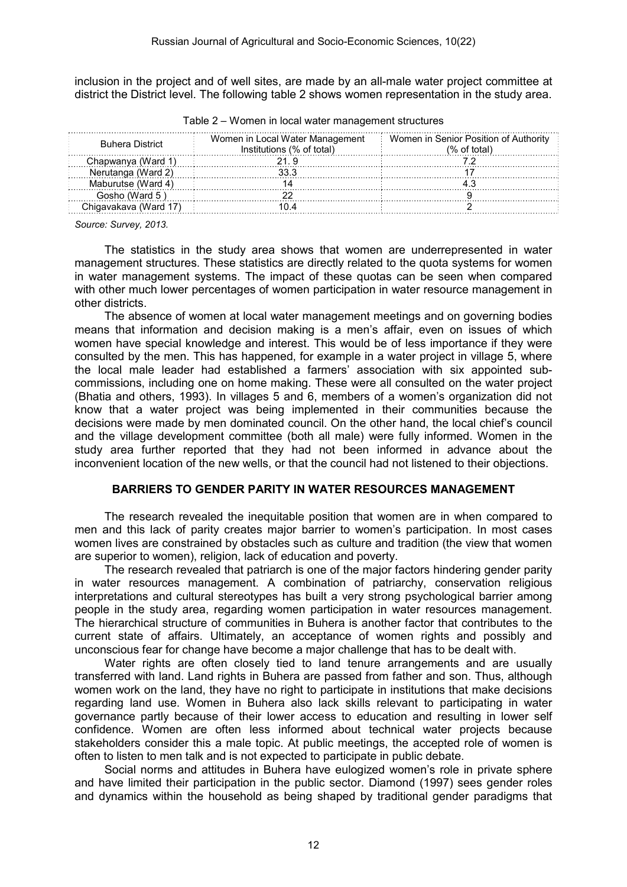inclusion in the project and of well sites, are made by an all-male water project committee at district the District level. The following table 2 shows women representation in the study area.

| <b>Buhera District</b> | Women in Local Water Management<br>Institutions (% of total) | Women in Senior Position of Authority<br>$\frac{1}{2}$ of tota. |
|------------------------|--------------------------------------------------------------|-----------------------------------------------------------------|
| Chapwanya (Ward 1,     |                                                              |                                                                 |
| Nerutanga (Ward 2)     |                                                              |                                                                 |
| Maburutse (Ward 4)     |                                                              |                                                                 |
| Gosho (Ward 5)         |                                                              |                                                                 |
| :ัhiɑavakava (Ward 17  |                                                              |                                                                 |

Table 2 – Women in local water management structures

*Source: Survey, 2013.*

The statistics in the study area shows that women are underrepresented in water management structures. These statistics are directly related to the quota systems for women in water management systems. The impact of these quotas can be seen when compared with other much lower percentages of women participation in water resource management in other districts.

The absence of women at local water management meetings and on governing bodies means that information and decision making is a men's affair, even on issues of which women have special knowledge and interest. This would be of less importance if they were consulted by the men. This has happened, for example in a water project in village 5, where the local male leader had established a farmers' association with six appointed subcommissions, including one on home making. These were all consulted on the water project (Bhatia and others, 1993). In villages 5 and 6, members of a women's organization did not know that a water project was being implemented in their communities because the decisions were made by men dominated council. On the other hand, the local chief's council and the village development committee (both all male) were fully informed. Women in the study area further reported that they had not been informed in advance about the inconvenient location of the new wells, or that the council had not listened to their objections.

## BARRIERS TO GENDER PARITY IN WATER RESOURCES MANAGEMENT

The research revealed the inequitable position that women are in when compared to men and this lack of parity creates major barrier to women's participation. In most cases women lives are constrained by obstacles such as culture and tradition (the view that women are superior to women), religion, lack of education and poverty.

The research revealed that patriarch is one of the major factors hindering gender parity in water resources management. A combination of patriarchy, conservation religious interpretations and cultural stereotypes has built a very strong psychological barrier among people in the study area, regarding women participation in water resources management. The hierarchical structure of communities in Buhera is another factor that contributes to the current state of affairs. Ultimately, an acceptance of women rights and possibly and unconscious fear for change have become a major challenge that has to be dealt with.

Water rights are often closely tied to land tenure arrangements and are usually transferred with land. Land rights in Buhera are passed from father and son. Thus, although women work on the land, they have no right to participate in institutions that make decisions regarding land use. Women in Buhera also lack skills relevant to participating in water governance partly because of their lower access to education and resulting in lower self confidence. Women are often less informed about technical water projects because stakeholders consider this a male topic. At public meetings, the accepted role of women is often to listen to men talk and is not expected to participate in public debate.

Social norms and attitudes in Buhera have eulogized women's role in private sphere and have limited their participation in the public sector. Diamond (1997) sees gender roles and dynamics within the household as being shaped by traditional gender paradigms that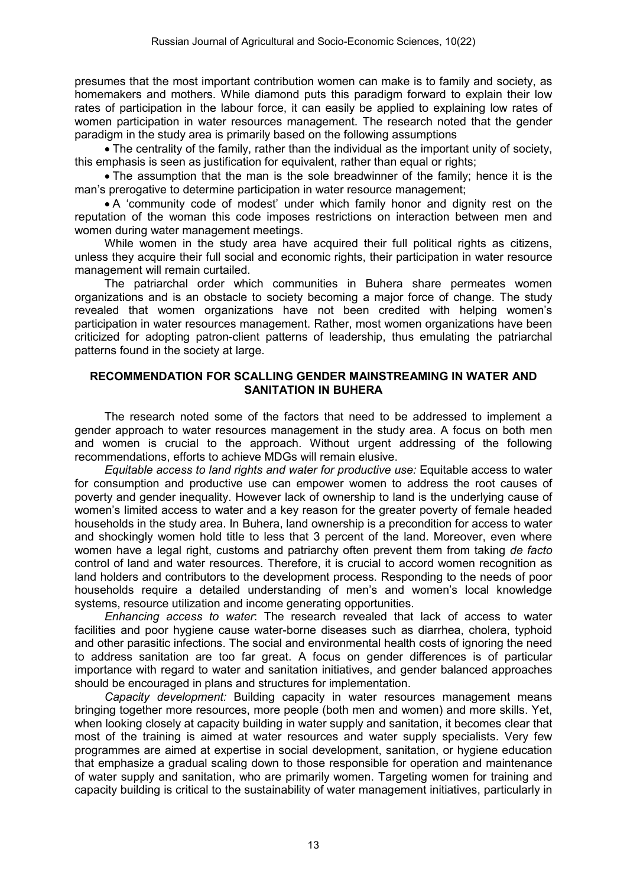presumes that the most important contribution women can make is to family and society, as homemakers and mothers. While diamond puts this paradigm forward to explain their low rates of participation in the labour force, it can easily be applied to explaining low rates of women participation in water resources management. The research noted that the gender paradigm in the study area is primarily based on the following assumptions

 The centrality of the family, rather than the individual as the important unity of society, this emphasis is seen as justification for equivalent, rather than equal or rights;

 The assumption that the man is the sole breadwinner of the family; hence it is the man's prerogative to determine participation in water resource management;

 A 'community code of modest' under which family honor and dignity rest on the reputation of the woman this code imposes restrictions on interaction between men and women during water management meetings.

While women in the study area have acquired their full political rights as citizens, unless they acquire their full social and economic rights, their participation in water resource management will remain curtailed.

The patriarchal order which communities in Buhera share permeates women organizations and is an obstacle to society becoming a major force of change. The study revealed that women organizations have not been credited with helping women's participation in water resources management. Rather, most women organizations have been criticized for adopting patron-client patterns of leadership, thus emulating the patriarchal patterns found in the society at large.

### RECOMMENDATION FOR SCALLING GENDER MAINSTREAMING IN WATER AND SANITATION IN BUHERA

The research noted some of the factors that need to be addressed to implement a gender approach to water resources management in the study area. A focus on both men and women is crucial to the approach. Without urgent addressing of the following recommendations, efforts to achieve MDGs will remain elusive.

*Equitable access to land rights and water for productive use:* Equitable access to water for consumption and productive use can empower women to address the root causes of poverty and gender inequality. However lack of ownership to land is the underlying cause of women's limited access to water and a key reason for the greater poverty of female headed households in the study area. In Buhera, land ownership is a precondition for access to water and shockingly women hold title to less that 3 percent of the land. Moreover, even where women have a legal right, customs and patriarchy often prevent them from taking *de facto* control of land and water resources. Therefore, it is crucial to accord women recognition as land holders and contributors to the development process. Responding to the needs of poor households require a detailed understanding of men's and women's local knowledge systems, resource utilization and income generating opportunities.

*Enhancing access to water*: The research revealed that lack of access to water facilities and poor hygiene cause water-borne diseases such as diarrhea, cholera, typhoid and other parasitic infections. The social and environmental health costs of ignoring the need to address sanitation are too far great. A focus on gender differences is of particular importance with regard to water and sanitation initiatives, and gender balanced approaches should be encouraged in plans and structures for implementation.

*Capacity development:* Building capacity in water resources management means bringing together more resources, more people (both men and women) and more skills. Yet, when looking closely at capacity building in water supply and sanitation, it becomes clear that most of the training is aimed at water resources and water supply specialists. Very few programmes are aimed at expertise in social development, sanitation, or hygiene education that emphasize a gradual scaling down to those responsible for operation and maintenance of water supply and sanitation, who are primarily women. Targeting women for training and capacity building is critical to the sustainability of water management initiatives, particularly in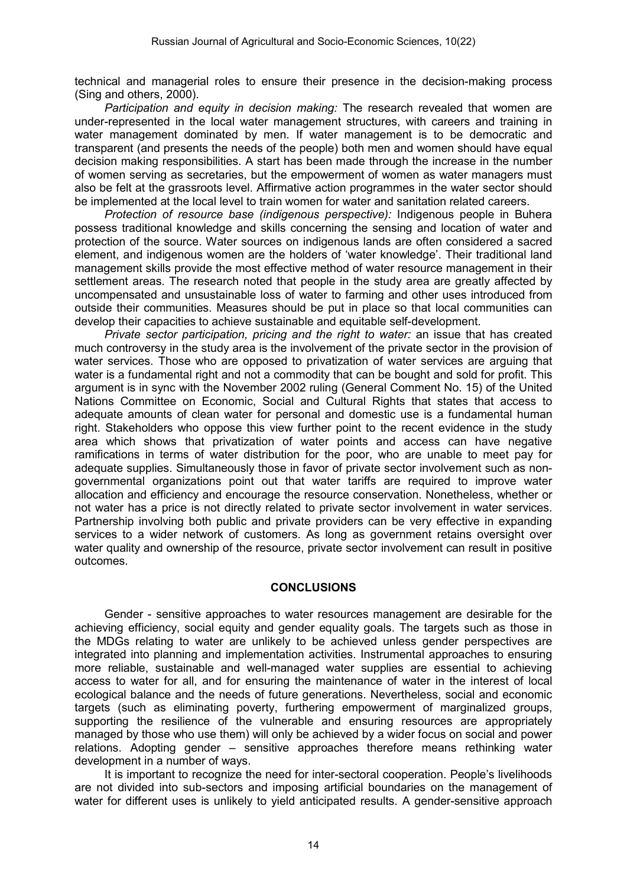technical and managerial roles to ensure their presence in the decision-making process (Sing and others, 2000).

*Participation and equity in decision making:* The research revealed that women are under-represented in the local water management structures, with careers and training in water management dominated by men. If water management is to be democratic and transparent (and presents the needs of the people) both men and women should have equal decision making responsibilities. A start has been made through the increase in the number of women serving as secretaries, but the empowerment of women as water managers must also be felt at the grassroots level. Affirmative action programmes in the water sector should be implemented at the local level to train women for water and sanitation related careers.

*Protection of resource base (indigenous perspective):* Indigenous people in Buhera possess traditional knowledge and skills concerning the sensing and location of water and protection of the source. Water sources on indigenous lands are often considered a sacred element, and indigenous women are the holders of 'water knowledge'. Their traditional land management skills provide the most effective method of water resource management in their settlement areas. The research noted that people in the study area are greatly affected by uncompensated and unsustainable loss of water to farming and other uses introduced from outside their communities. Measures should be put in place so that local communities can develop their capacities to achieve sustainable and equitable self-development.

*Private sector participation, pricing and the right to water:* an issue that has created much controversy in the study area is the involvement of the private sector in the provision of water services. Those who are opposed to privatization of water services are arguing that water is a fundamental right and not a commodity that can be bought and sold for profit. This argument is in sync with the November 2002 ruling (General Comment No. 15) of the United Nations Committee on Economic, Social and Cultural Rights that states that access to adequate amounts of clean water for personal and domestic use is a fundamental human right. Stakeholders who oppose this view further point to the recent evidence in the study area which shows that privatization of water points and access can have negative ramifications in terms of water distribution for the poor, who are unable to meet pay for adequate supplies. Simultaneously those in favor of private sector involvement such as nongovernmental organizations point out that water tariffs are required to improve water allocation and efficiency and encourage the resource conservation. Nonetheless, whether or not water has a price is not directly related to private sector involvement in water services. Partnership involving both public and private providers can be very effective in expanding services to a wider network of customers. As long as government retains oversight over water quality and ownership of the resource, private sector involvement can result in positive outcomes.

#### **CONCLUSIONS**

Gender - sensitive approaches to water resources management are desirable for the achieving efficiency, social equity and gender equality goals. The targets such as those in the MDGs relating to water are unlikely to be achieved unless gender perspectives are integrated into planning and implementation activities. Instrumental approaches to ensuring more reliable, sustainable and well-managed water supplies are essential to achieving access to water for all, and for ensuring the maintenance of water in the interest of local ecological balance and the needs of future generations. Nevertheless, social and economic targets (such as eliminating poverty, furthering empowerment of marginalized groups, supporting the resilience of the vulnerable and ensuring resources are appropriately managed by those who use them) will only be achieved by a wider focus on social and power relations. Adopting gender – sensitive approaches therefore means rethinking water development in a number of ways.

It is important to recognize the need for inter-sectoral cooperation. People's livelihoods are not divided into sub-sectors and imposing artificial boundaries on the management of water for different uses is unlikely to yield anticipated results. A gender-sensitive approach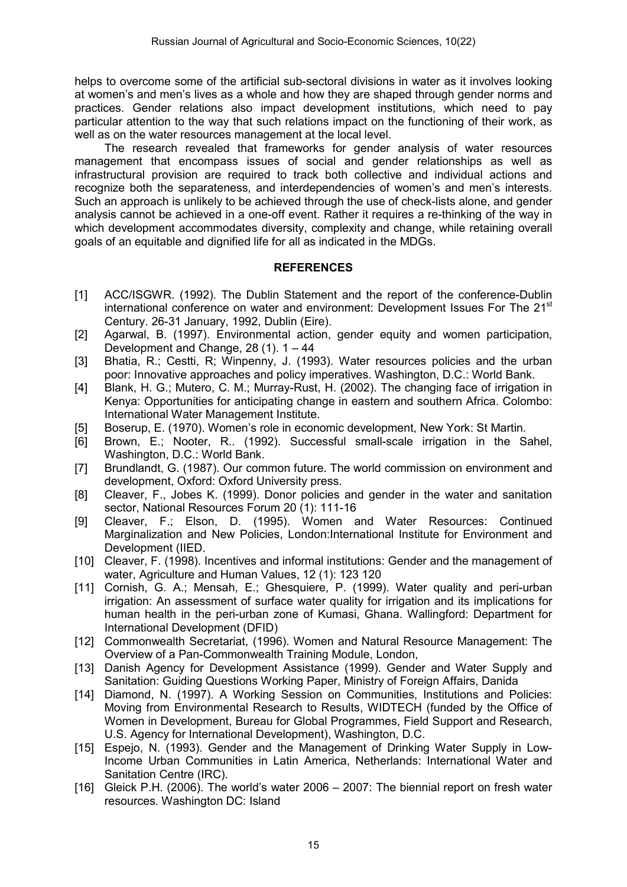helps to overcome some of the artificial sub-sectoral divisions in water as it involves looking at women's and men's lives as a whole and how they are shaped through gender norms and practices. Gender relations also impact development institutions, which need to pay particular attention to the way that such relations impact on the functioning of their work, as well as on the water resources management at the local level.

The research revealed that frameworks for gender analysis of water resources management that encompass issues of social and gender relationships as well as infrastructural provision are required to track both collective and individual actions and recognize both the separateness, and interdependencies of women's and men's interests. Such an approach is unlikely to be achieved through the use of check-lists alone, and gender analysis cannot be achieved in a one-off event. Rather it requires a re-thinking of the way in which development accommodates diversity, complexity and change, while retaining overall goals of an equitable and dignified life for all as indicated in the MDGs.

## REFERENCES

- [1] ACC/ISGWR. (1992). The Dublin Statement and the report of the conference-Dublin international conference on water and environment: Development Issues For The 21<sup>st</sup> Century. 26-31 January, 1992, Dublin (Eire).
- [2] Agarwal, B. (1997). Environmental action, gender equity and women participation, Development and Change, 28 (1). 1 – 44
- [3] Bhatia, R.; Cestti, R; Winpenny, J. (1993). Water resources policies and the urban poor: Innovative approaches and policy imperatives. Washington, D.C.: World Bank.
- [4] Blank, H. G.; Mutero, C. M.; Murray-Rust, H. (2002). The changing face of irrigation in Kenya: Opportunities for anticipating change in eastern and southern Africa. Colombo: International Water Management Institute.
- [5] Boserup, E. (1970). Women's role in economic development, New York: St Martin.
- [6] Brown, E.; Nooter, R.. (1992). Successful small-scale irrigation in the Sahel, Washington, D.C.: World Bank.
- [7] Brundlandt, G. (1987). Our common future. The world commission on environment and development, Oxford: Oxford University press.
- [8] Cleaver, F., Jobes K. (1999). Donor policies and gender in the water and sanitation sector, National Resources Forum 20 (1): 111-16
- [9] Cleaver, F.; Elson, D. (1995). Women and Water Resources: Continued Marginalization and New Policies, London:International Institute for Environment and Development (IIED.
- [10] Cleaver, F. (1998). Incentives and informal institutions: Gender and the management of water, Agriculture and Human Values, 12 (1): 123 120
- [11] Cornish, G. A.; Mensah, E.; Ghesquiere, P. (1999). Water quality and peri-urban irrigation: An assessment of surface water quality for irrigation and its implications for human health in the peri-urban zone of Kumasi, Ghana. Wallingford: Department for International Development (DFID)
- [12] Commonwealth Secretariat, (1996). Women and Natural Resource Management: The Overview of a Pan-Commonwealth Training Module, London,
- [13] Danish Agency for Development Assistance (1999). Gender and Water Supply and Sanitation: Guiding Questions Working Paper, Ministry of Foreign Affairs, Danida
- [14] Diamond, N. (1997). A Working Session on Communities, Institutions and Policies: Moving from Environmental Research to Results, WIDTECH (funded by the Office of Women in Development, Bureau for Global Programmes, Field Support and Research, U.S. Agency for International Development), Washington, D.C.
- [15] Espejo, N. (1993). Gender and the Management of Drinking Water Supply in Low-Income Urban Communities in Latin America, Netherlands: International Water and Sanitation Centre (IRC).
- [16] Gleick P.H. (2006). The world's water 2006 2007: The biennial report on fresh water resources. Washington DC: Island